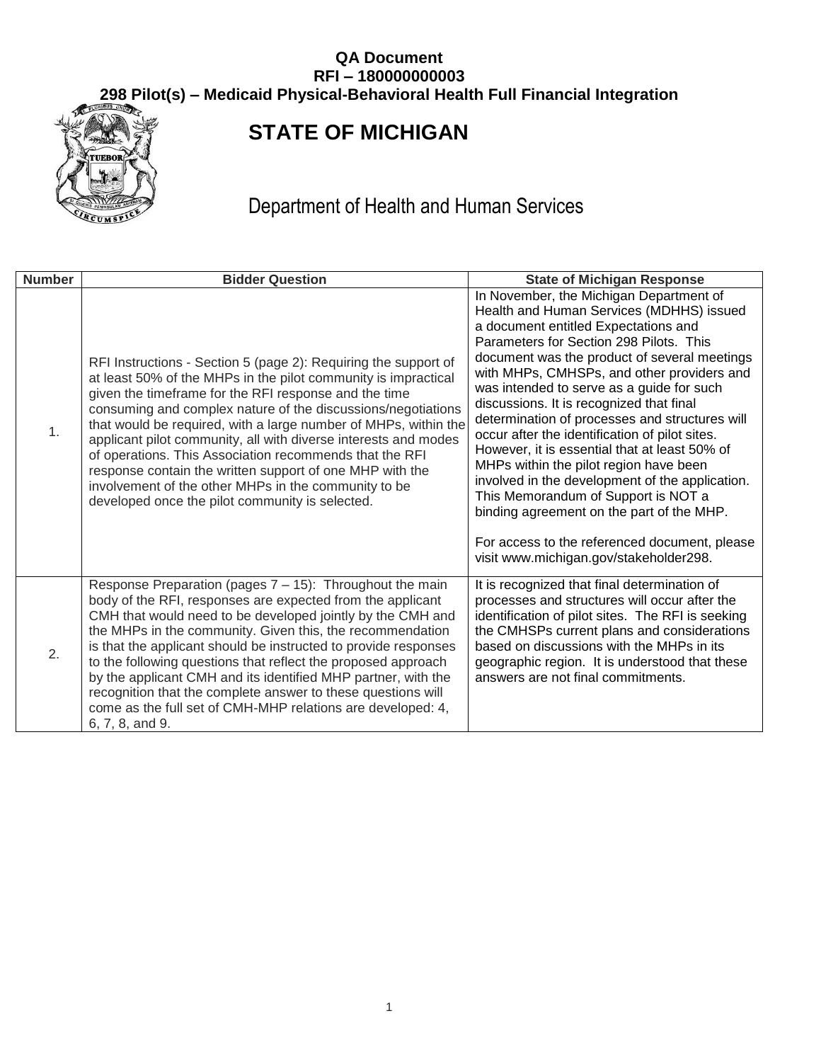

# **STATE OF MICHIGAN**

Department of Health and Human Services

| <b>Number</b>  | <b>Bidder Question</b>                                                                                                                                                                                                                                                                                                                                                                                                                                                                                                                                                                                                             | <b>State of Michigan Response</b>                                                                                                                                                                                                                                                                                                                                                                                                                                                                                                                                                                                                                                                                                                                                                              |
|----------------|------------------------------------------------------------------------------------------------------------------------------------------------------------------------------------------------------------------------------------------------------------------------------------------------------------------------------------------------------------------------------------------------------------------------------------------------------------------------------------------------------------------------------------------------------------------------------------------------------------------------------------|------------------------------------------------------------------------------------------------------------------------------------------------------------------------------------------------------------------------------------------------------------------------------------------------------------------------------------------------------------------------------------------------------------------------------------------------------------------------------------------------------------------------------------------------------------------------------------------------------------------------------------------------------------------------------------------------------------------------------------------------------------------------------------------------|
| 1.             | RFI Instructions - Section 5 (page 2): Requiring the support of<br>at least 50% of the MHPs in the pilot community is impractical<br>given the timeframe for the RFI response and the time<br>consuming and complex nature of the discussions/negotiations<br>that would be required, with a large number of MHPs, within the<br>applicant pilot community, all with diverse interests and modes<br>of operations. This Association recommends that the RFI<br>response contain the written support of one MHP with the<br>involvement of the other MHPs in the community to be<br>developed once the pilot community is selected. | In November, the Michigan Department of<br>Health and Human Services (MDHHS) issued<br>a document entitled Expectations and<br>Parameters for Section 298 Pilots. This<br>document was the product of several meetings<br>with MHPs, CMHSPs, and other providers and<br>was intended to serve as a guide for such<br>discussions. It is recognized that final<br>determination of processes and structures will<br>occur after the identification of pilot sites.<br>However, it is essential that at least 50% of<br>MHPs within the pilot region have been<br>involved in the development of the application.<br>This Memorandum of Support is NOT a<br>binding agreement on the part of the MHP.<br>For access to the referenced document, please<br>visit www.michigan.gov/stakeholder298. |
| $\mathbf{2}$ . | Response Preparation (pages $7 - 15$ ): Throughout the main<br>body of the RFI, responses are expected from the applicant<br>CMH that would need to be developed jointly by the CMH and<br>the MHPs in the community. Given this, the recommendation<br>is that the applicant should be instructed to provide responses<br>to the following questions that reflect the proposed approach<br>by the applicant CMH and its identified MHP partner, with the<br>recognition that the complete answer to these questions will<br>come as the full set of CMH-MHP relations are developed: 4,<br>6, 7, 8, and 9.                        | It is recognized that final determination of<br>processes and structures will occur after the<br>identification of pilot sites. The RFI is seeking<br>the CMHSPs current plans and considerations<br>based on discussions with the MHPs in its<br>geographic region. It is understood that these<br>answers are not final commitments.                                                                                                                                                                                                                                                                                                                                                                                                                                                         |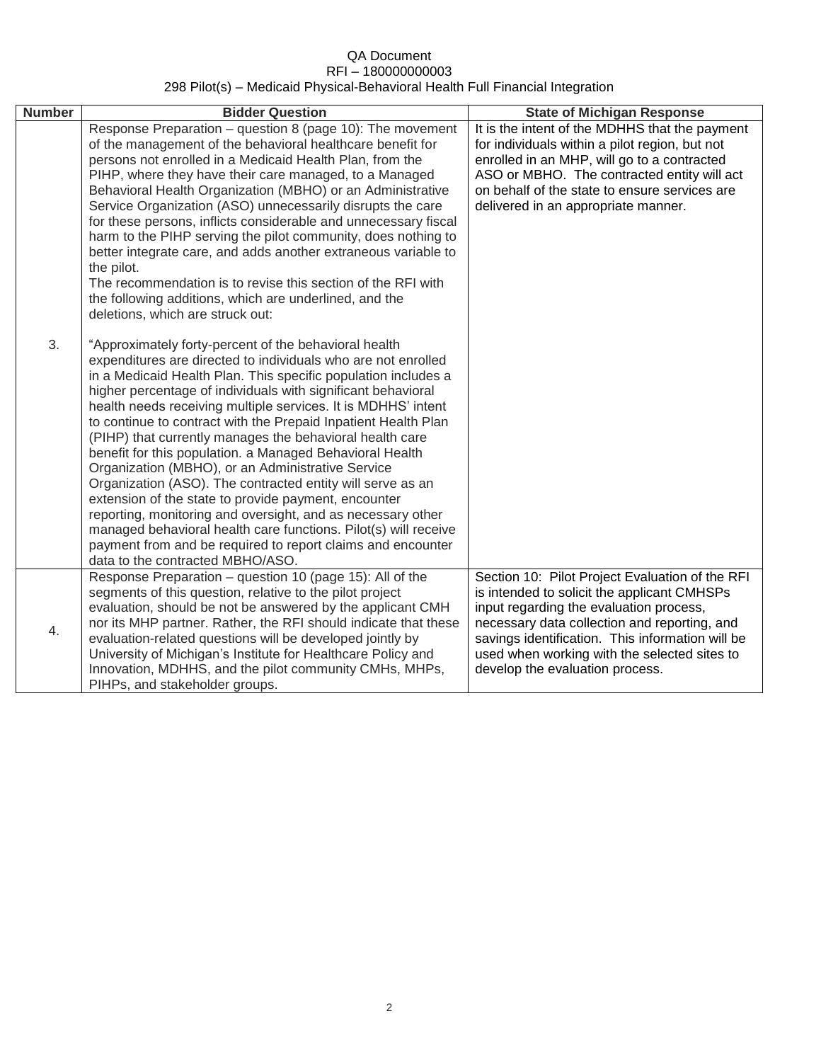| <b>Number</b> | <b>Bidder Question</b>                                                                                                                                                                                                                                                                                                                                                                                                                                                                                                                                                                                                                                                                                                                                                                                                                                                                                                              | <b>State of Michigan Response</b>                                                                                                                                                                                                                                                                                                |
|---------------|-------------------------------------------------------------------------------------------------------------------------------------------------------------------------------------------------------------------------------------------------------------------------------------------------------------------------------------------------------------------------------------------------------------------------------------------------------------------------------------------------------------------------------------------------------------------------------------------------------------------------------------------------------------------------------------------------------------------------------------------------------------------------------------------------------------------------------------------------------------------------------------------------------------------------------------|----------------------------------------------------------------------------------------------------------------------------------------------------------------------------------------------------------------------------------------------------------------------------------------------------------------------------------|
|               | Response Preparation - question 8 (page 10): The movement<br>of the management of the behavioral healthcare benefit for<br>persons not enrolled in a Medicaid Health Plan, from the<br>PIHP, where they have their care managed, to a Managed<br>Behavioral Health Organization (MBHO) or an Administrative<br>Service Organization (ASO) unnecessarily disrupts the care<br>for these persons, inflicts considerable and unnecessary fiscal<br>harm to the PIHP serving the pilot community, does nothing to<br>better integrate care, and adds another extraneous variable to<br>the pilot.<br>The recommendation is to revise this section of the RFI with<br>the following additions, which are underlined, and the<br>deletions, which are struck out:                                                                                                                                                                         | It is the intent of the MDHHS that the payment<br>for individuals within a pilot region, but not<br>enrolled in an MHP, will go to a contracted<br>ASO or MBHO. The contracted entity will act<br>on behalf of the state to ensure services are<br>delivered in an appropriate manner.                                           |
| 3.            | "Approximately forty-percent of the behavioral health<br>expenditures are directed to individuals who are not enrolled<br>in a Medicaid Health Plan. This specific population includes a<br>higher percentage of individuals with significant behavioral<br>health needs receiving multiple services. It is MDHHS' intent<br>to continue to contract with the Prepaid Inpatient Health Plan<br>(PIHP) that currently manages the behavioral health care<br>benefit for this population. a Managed Behavioral Health<br>Organization (MBHO), or an Administrative Service<br>Organization (ASO). The contracted entity will serve as an<br>extension of the state to provide payment, encounter<br>reporting, monitoring and oversight, and as necessary other<br>managed behavioral health care functions. Pilot(s) will receive<br>payment from and be required to report claims and encounter<br>data to the contracted MBHO/ASO. |                                                                                                                                                                                                                                                                                                                                  |
| 4.            | Response Preparation - question 10 (page 15): All of the<br>segments of this question, relative to the pilot project<br>evaluation, should be not be answered by the applicant CMH<br>nor its MHP partner. Rather, the RFI should indicate that these<br>evaluation-related questions will be developed jointly by<br>University of Michigan's Institute for Healthcare Policy and<br>Innovation, MDHHS, and the pilot community CMHs, MHPs,<br>PIHPs, and stakeholder groups.                                                                                                                                                                                                                                                                                                                                                                                                                                                      | Section 10: Pilot Project Evaluation of the RFI<br>is intended to solicit the applicant CMHSPs<br>input regarding the evaluation process,<br>necessary data collection and reporting, and<br>savings identification. This information will be<br>used when working with the selected sites to<br>develop the evaluation process. |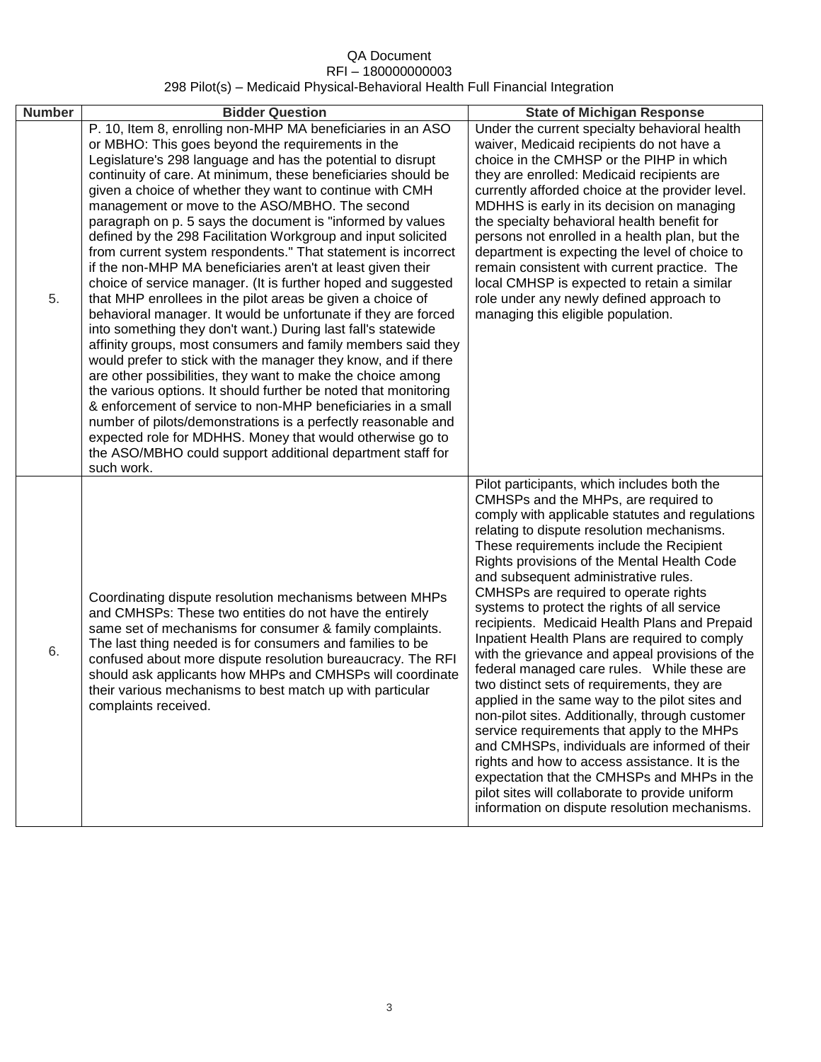| <b>Number</b> | <b>Bidder Question</b>                                                                                                                                                                                                                                                                                                                                                                                                                                                                                                                                                                                                                                                                                                                                                                                                                                                                                                                                                                                                                                                                                                                                                                                                                                                                                                                                                                                                                         | <b>State of Michigan Response</b>                                                                                                                                                                                                                                                                                                                                                                                                                                                                                                                                                                                                                                                                                                                                                                                                                                                                                                                                                                                                                                             |
|---------------|------------------------------------------------------------------------------------------------------------------------------------------------------------------------------------------------------------------------------------------------------------------------------------------------------------------------------------------------------------------------------------------------------------------------------------------------------------------------------------------------------------------------------------------------------------------------------------------------------------------------------------------------------------------------------------------------------------------------------------------------------------------------------------------------------------------------------------------------------------------------------------------------------------------------------------------------------------------------------------------------------------------------------------------------------------------------------------------------------------------------------------------------------------------------------------------------------------------------------------------------------------------------------------------------------------------------------------------------------------------------------------------------------------------------------------------------|-------------------------------------------------------------------------------------------------------------------------------------------------------------------------------------------------------------------------------------------------------------------------------------------------------------------------------------------------------------------------------------------------------------------------------------------------------------------------------------------------------------------------------------------------------------------------------------------------------------------------------------------------------------------------------------------------------------------------------------------------------------------------------------------------------------------------------------------------------------------------------------------------------------------------------------------------------------------------------------------------------------------------------------------------------------------------------|
| 5.            | P. 10, Item 8, enrolling non-MHP MA beneficiaries in an ASO<br>or MBHO: This goes beyond the requirements in the<br>Legislature's 298 language and has the potential to disrupt<br>continuity of care. At minimum, these beneficiaries should be<br>given a choice of whether they want to continue with CMH<br>management or move to the ASO/MBHO. The second<br>paragraph on p. 5 says the document is "informed by values"<br>defined by the 298 Facilitation Workgroup and input solicited<br>from current system respondents." That statement is incorrect<br>if the non-MHP MA beneficiaries aren't at least given their<br>choice of service manager. (It is further hoped and suggested<br>that MHP enrollees in the pilot areas be given a choice of<br>behavioral manager. It would be unfortunate if they are forced<br>into something they don't want.) During last fall's statewide<br>affinity groups, most consumers and family members said they<br>would prefer to stick with the manager they know, and if there<br>are other possibilities, they want to make the choice among<br>the various options. It should further be noted that monitoring<br>& enforcement of service to non-MHP beneficiaries in a small<br>number of pilots/demonstrations is a perfectly reasonable and<br>expected role for MDHHS. Money that would otherwise go to<br>the ASO/MBHO could support additional department staff for<br>such work. | Under the current specialty behavioral health<br>waiver, Medicaid recipients do not have a<br>choice in the CMHSP or the PIHP in which<br>they are enrolled: Medicaid recipients are<br>currently afforded choice at the provider level.<br>MDHHS is early in its decision on managing<br>the specialty behavioral health benefit for<br>persons not enrolled in a health plan, but the<br>department is expecting the level of choice to<br>remain consistent with current practice. The<br>local CMHSP is expected to retain a similar<br>role under any newly defined approach to<br>managing this eligible population.                                                                                                                                                                                                                                                                                                                                                                                                                                                    |
| 6.            | Coordinating dispute resolution mechanisms between MHPs<br>and CMHSPs: These two entities do not have the entirely<br>same set of mechanisms for consumer & family complaints.<br>The last thing needed is for consumers and families to be<br>confused about more dispute resolution bureaucracy. The RFI<br>should ask applicants how MHPs and CMHSPs will coordinate<br>their various mechanisms to best match up with particular<br>complaints received.                                                                                                                                                                                                                                                                                                                                                                                                                                                                                                                                                                                                                                                                                                                                                                                                                                                                                                                                                                                   | Pilot participants, which includes both the<br>CMHSPs and the MHPs, are required to<br>comply with applicable statutes and regulations<br>relating to dispute resolution mechanisms.<br>These requirements include the Recipient<br>Rights provisions of the Mental Health Code<br>and subsequent administrative rules.<br>CMHSPs are required to operate rights<br>systems to protect the rights of all service<br>recipients. Medicaid Health Plans and Prepaid<br>Inpatient Health Plans are required to comply<br>with the grievance and appeal provisions of the<br>federal managed care rules. While these are<br>two distinct sets of requirements, they are<br>applied in the same way to the pilot sites and<br>non-pilot sites. Additionally, through customer<br>service requirements that apply to the MHPs<br>and CMHSPs, individuals are informed of their<br>rights and how to access assistance. It is the<br>expectation that the CMHSPs and MHPs in the<br>pilot sites will collaborate to provide uniform<br>information on dispute resolution mechanisms. |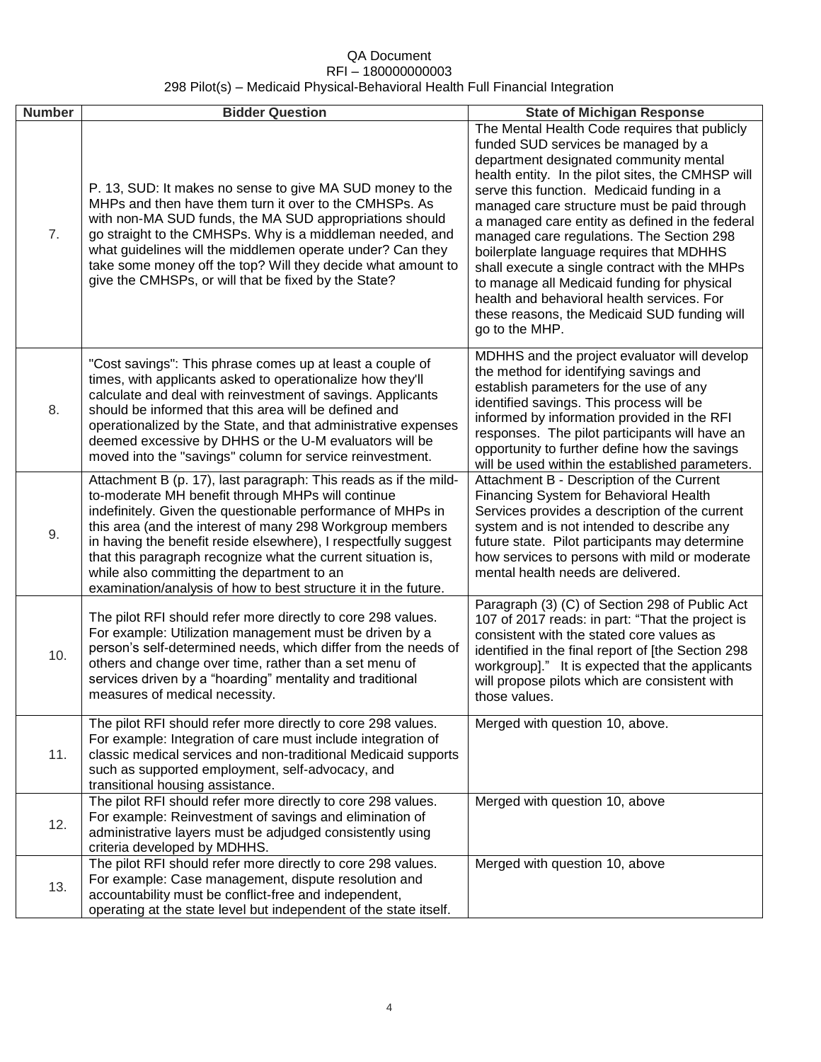| <b>Number</b> | <b>Bidder Question</b>                                                                                                                                                                                                                                                                                                                                                                                                                                                                                | <b>State of Michigan Response</b>                                                                                                                                                                                                                                                                                                                                                                                                                                                                                                                                                                                                            |
|---------------|-------------------------------------------------------------------------------------------------------------------------------------------------------------------------------------------------------------------------------------------------------------------------------------------------------------------------------------------------------------------------------------------------------------------------------------------------------------------------------------------------------|----------------------------------------------------------------------------------------------------------------------------------------------------------------------------------------------------------------------------------------------------------------------------------------------------------------------------------------------------------------------------------------------------------------------------------------------------------------------------------------------------------------------------------------------------------------------------------------------------------------------------------------------|
| 7.            | P. 13, SUD: It makes no sense to give MA SUD money to the<br>MHPs and then have them turn it over to the CMHSPs. As<br>with non-MA SUD funds, the MA SUD appropriations should<br>go straight to the CMHSPs. Why is a middleman needed, and<br>what guidelines will the middlemen operate under? Can they<br>take some money off the top? Will they decide what amount to<br>give the CMHSPs, or will that be fixed by the State?                                                                     | The Mental Health Code requires that publicly<br>funded SUD services be managed by a<br>department designated community mental<br>health entity. In the pilot sites, the CMHSP will<br>serve this function. Medicaid funding in a<br>managed care structure must be paid through<br>a managed care entity as defined in the federal<br>managed care regulations. The Section 298<br>boilerplate language requires that MDHHS<br>shall execute a single contract with the MHPs<br>to manage all Medicaid funding for physical<br>health and behavioral health services. For<br>these reasons, the Medicaid SUD funding will<br>go to the MHP. |
| 8.            | "Cost savings": This phrase comes up at least a couple of<br>times, with applicants asked to operationalize how they'll<br>calculate and deal with reinvestment of savings. Applicants<br>should be informed that this area will be defined and<br>operationalized by the State, and that administrative expenses<br>deemed excessive by DHHS or the U-M evaluators will be<br>moved into the "savings" column for service reinvestment.                                                              | MDHHS and the project evaluator will develop<br>the method for identifying savings and<br>establish parameters for the use of any<br>identified savings. This process will be<br>informed by information provided in the RFI<br>responses. The pilot participants will have an<br>opportunity to further define how the savings<br>will be used within the established parameters.                                                                                                                                                                                                                                                           |
| 9.            | Attachment B (p. 17), last paragraph: This reads as if the mild-<br>to-moderate MH benefit through MHPs will continue<br>indefinitely. Given the questionable performance of MHPs in<br>this area (and the interest of many 298 Workgroup members<br>in having the benefit reside elsewhere), I respectfully suggest<br>that this paragraph recognize what the current situation is,<br>while also committing the department to an<br>examination/analysis of how to best structure it in the future. | Attachment B - Description of the Current<br>Financing System for Behavioral Health<br>Services provides a description of the current<br>system and is not intended to describe any<br>future state. Pilot participants may determine<br>how services to persons with mild or moderate<br>mental health needs are delivered.                                                                                                                                                                                                                                                                                                                 |
| 10.           | The pilot RFI should refer more directly to core 298 values.<br>For example: Utilization management must be driven by a<br>person's self-determined needs, which differ from the needs of<br>others and change over time, rather than a set menu of<br>services driven by a "hoarding" mentality and traditional<br>measures of medical necessity.                                                                                                                                                    | Paragraph (3) (C) of Section 298 of Public Act<br>107 of 2017 reads: in part: "That the project is<br>consistent with the stated core values as<br>identified in the final report of [the Section 298<br>workgroup]." It is expected that the applicants<br>will propose pilots which are consistent with<br>those values.                                                                                                                                                                                                                                                                                                                   |
| 11.           | The pilot RFI should refer more directly to core 298 values.<br>For example: Integration of care must include integration of<br>classic medical services and non-traditional Medicaid supports<br>such as supported employment, self-advocacy, and<br>transitional housing assistance.                                                                                                                                                                                                                | Merged with question 10, above.                                                                                                                                                                                                                                                                                                                                                                                                                                                                                                                                                                                                              |
| 12.           | The pilot RFI should refer more directly to core 298 values.<br>For example: Reinvestment of savings and elimination of<br>administrative layers must be adjudged consistently using<br>criteria developed by MDHHS.                                                                                                                                                                                                                                                                                  | Merged with question 10, above                                                                                                                                                                                                                                                                                                                                                                                                                                                                                                                                                                                                               |
| 13.           | The pilot RFI should refer more directly to core 298 values.<br>For example: Case management, dispute resolution and<br>accountability must be conflict-free and independent,<br>operating at the state level but independent of the state itself.                                                                                                                                                                                                                                                    | Merged with question 10, above                                                                                                                                                                                                                                                                                                                                                                                                                                                                                                                                                                                                               |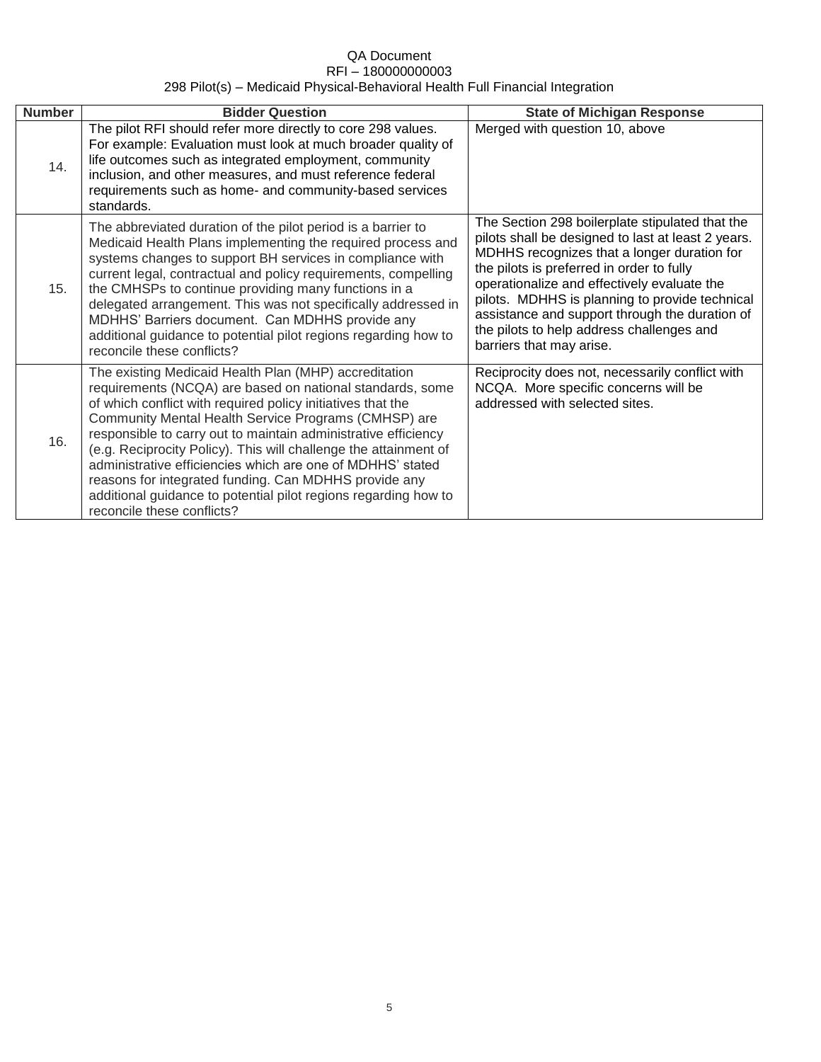| <b>Number</b> | <b>Bidder Question</b>                                                                                                                                                                                                                                                                                                                                                                                                                                                                                                                                                                                  | <b>State of Michigan Response</b>                                                                                                                                                                                                                                                                                                                                                                                             |
|---------------|---------------------------------------------------------------------------------------------------------------------------------------------------------------------------------------------------------------------------------------------------------------------------------------------------------------------------------------------------------------------------------------------------------------------------------------------------------------------------------------------------------------------------------------------------------------------------------------------------------|-------------------------------------------------------------------------------------------------------------------------------------------------------------------------------------------------------------------------------------------------------------------------------------------------------------------------------------------------------------------------------------------------------------------------------|
| 14.           | The pilot RFI should refer more directly to core 298 values.<br>For example: Evaluation must look at much broader quality of<br>life outcomes such as integrated employment, community<br>inclusion, and other measures, and must reference federal<br>requirements such as home- and community-based services<br>standards.                                                                                                                                                                                                                                                                            | Merged with question 10, above                                                                                                                                                                                                                                                                                                                                                                                                |
| 15.           | The abbreviated duration of the pilot period is a barrier to<br>Medicaid Health Plans implementing the required process and<br>systems changes to support BH services in compliance with<br>current legal, contractual and policy requirements, compelling<br>the CMHSPs to continue providing many functions in a<br>delegated arrangement. This was not specifically addressed in<br>MDHHS' Barriers document. Can MDHHS provide any<br>additional guidance to potential pilot regions regarding how to<br>reconcile these conflicts?                                                                 | The Section 298 boilerplate stipulated that the<br>pilots shall be designed to last at least 2 years.<br>MDHHS recognizes that a longer duration for<br>the pilots is preferred in order to fully<br>operationalize and effectively evaluate the<br>pilots. MDHHS is planning to provide technical<br>assistance and support through the duration of<br>the pilots to help address challenges and<br>barriers that may arise. |
| 16.           | The existing Medicaid Health Plan (MHP) accreditation<br>requirements (NCQA) are based on national standards, some<br>of which conflict with required policy initiatives that the<br>Community Mental Health Service Programs (CMHSP) are<br>responsible to carry out to maintain administrative efficiency<br>(e.g. Reciprocity Policy). This will challenge the attainment of<br>administrative efficiencies which are one of MDHHS' stated<br>reasons for integrated funding. Can MDHHS provide any<br>additional guidance to potential pilot regions regarding how to<br>reconcile these conflicts? | Reciprocity does not, necessarily conflict with<br>NCQA. More specific concerns will be<br>addressed with selected sites.                                                                                                                                                                                                                                                                                                     |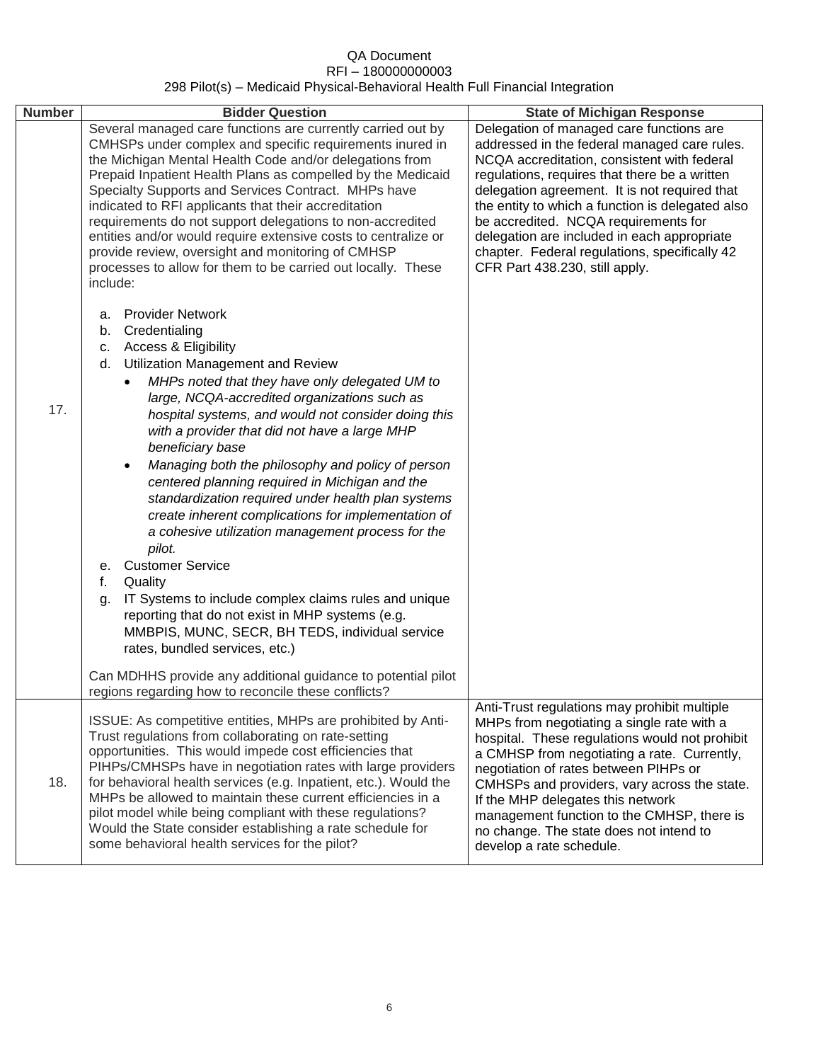| <b>Number</b> | <b>Bidder Question</b>                                                                                                                                                                                                                                                                                                                                                                                                                                                                                                                                                                                                                                                                                                                                                                                                                                                                                                                                                                        | <b>State of Michigan Response</b>                                                                                                                                                                                                                                                                                                                                                                                                                                       |
|---------------|-----------------------------------------------------------------------------------------------------------------------------------------------------------------------------------------------------------------------------------------------------------------------------------------------------------------------------------------------------------------------------------------------------------------------------------------------------------------------------------------------------------------------------------------------------------------------------------------------------------------------------------------------------------------------------------------------------------------------------------------------------------------------------------------------------------------------------------------------------------------------------------------------------------------------------------------------------------------------------------------------|-------------------------------------------------------------------------------------------------------------------------------------------------------------------------------------------------------------------------------------------------------------------------------------------------------------------------------------------------------------------------------------------------------------------------------------------------------------------------|
|               | Several managed care functions are currently carried out by<br>CMHSPs under complex and specific requirements inured in<br>the Michigan Mental Health Code and/or delegations from<br>Prepaid Inpatient Health Plans as compelled by the Medicaid<br>Specialty Supports and Services Contract. MHPs have<br>indicated to RFI applicants that their accreditation<br>requirements do not support delegations to non-accredited<br>entities and/or would require extensive costs to centralize or<br>provide review, oversight and monitoring of CMHSP<br>processes to allow for them to be carried out locally. These<br>include:                                                                                                                                                                                                                                                                                                                                                              | Delegation of managed care functions are<br>addressed in the federal managed care rules.<br>NCQA accreditation, consistent with federal<br>regulations, requires that there be a written<br>delegation agreement. It is not required that<br>the entity to which a function is delegated also<br>be accredited. NCQA requirements for<br>delegation are included in each appropriate<br>chapter. Federal regulations, specifically 42<br>CFR Part 438.230, still apply. |
| 17.           | <b>Provider Network</b><br>а.<br>Credentialing<br>b.<br><b>Access &amp; Eligibility</b><br>c.<br>d. Utilization Management and Review<br>MHPs noted that they have only delegated UM to<br>$\bullet$<br>large, NCQA-accredited organizations such as<br>hospital systems, and would not consider doing this<br>with a provider that did not have a large MHP<br>beneficiary base<br>Managing both the philosophy and policy of person<br>centered planning required in Michigan and the<br>standardization required under health plan systems<br>create inherent complications for implementation of<br>a cohesive utilization management process for the<br>pilot.<br><b>Customer Service</b><br>е.<br>f.<br>Quality<br>IT Systems to include complex claims rules and unique<br>g.<br>reporting that do not exist in MHP systems (e.g.<br>MMBPIS, MUNC, SECR, BH TEDS, individual service<br>rates, bundled services, etc.)<br>Can MDHHS provide any additional guidance to potential pilot |                                                                                                                                                                                                                                                                                                                                                                                                                                                                         |
|               | regions regarding how to reconcile these conflicts?<br>ISSUE: As competitive entities, MHPs are prohibited by Anti-                                                                                                                                                                                                                                                                                                                                                                                                                                                                                                                                                                                                                                                                                                                                                                                                                                                                           | Anti-Trust regulations may prohibit multiple<br>MHPs from negotiating a single rate with a                                                                                                                                                                                                                                                                                                                                                                              |
| 18.           | Trust regulations from collaborating on rate-setting<br>opportunities. This would impede cost efficiencies that<br>PIHPs/CMHSPs have in negotiation rates with large providers<br>for behavioral health services (e.g. Inpatient, etc.). Would the<br>MHPs be allowed to maintain these current efficiencies in a<br>pilot model while being compliant with these regulations?<br>Would the State consider establishing a rate schedule for<br>some behavioral health services for the pilot?                                                                                                                                                                                                                                                                                                                                                                                                                                                                                                 | hospital. These regulations would not prohibit<br>a CMHSP from negotiating a rate. Currently,<br>negotiation of rates between PIHPs or<br>CMHSPs and providers, vary across the state.<br>If the MHP delegates this network<br>management function to the CMHSP, there is<br>no change. The state does not intend to<br>develop a rate schedule.                                                                                                                        |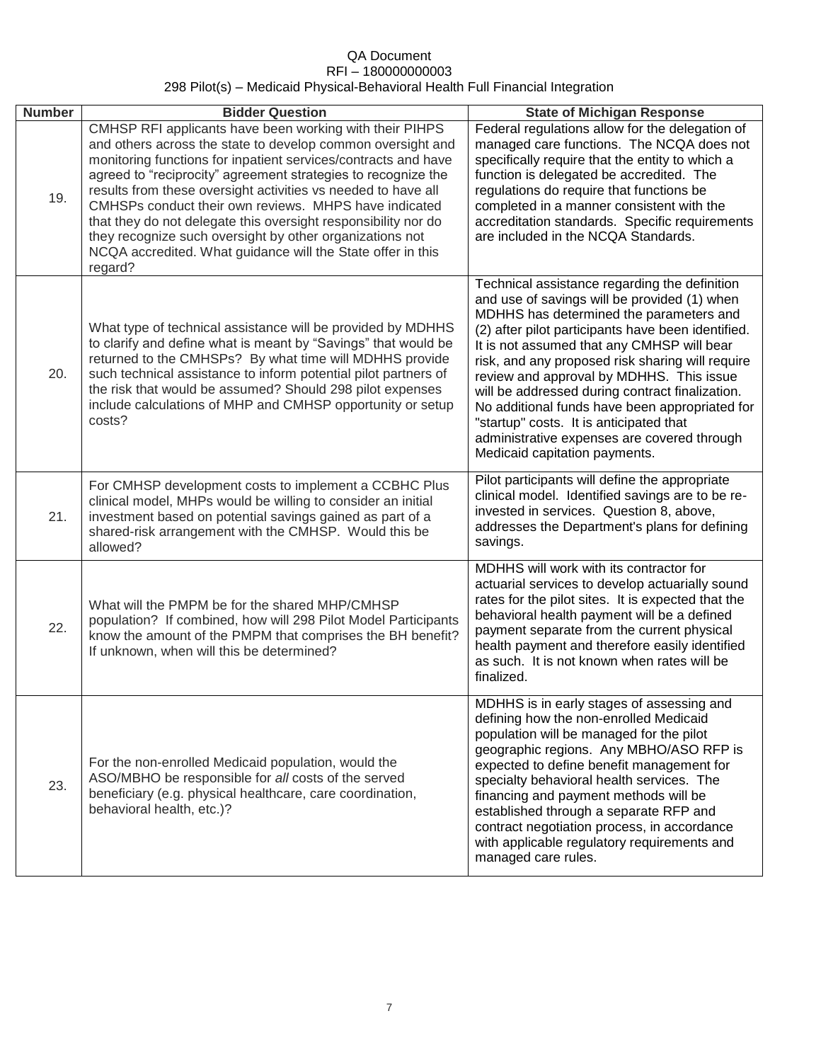| <b>Number</b> | <b>Bidder Question</b>                                                                                                                                                                                                                                                                                                                                                                                                                                                                                                                                                                      | <b>State of Michigan Response</b>                                                                                                                                                                                                                                                                                                                                                                                                                                                                                                                                            |
|---------------|---------------------------------------------------------------------------------------------------------------------------------------------------------------------------------------------------------------------------------------------------------------------------------------------------------------------------------------------------------------------------------------------------------------------------------------------------------------------------------------------------------------------------------------------------------------------------------------------|------------------------------------------------------------------------------------------------------------------------------------------------------------------------------------------------------------------------------------------------------------------------------------------------------------------------------------------------------------------------------------------------------------------------------------------------------------------------------------------------------------------------------------------------------------------------------|
| 19.           | CMHSP RFI applicants have been working with their PIHPS<br>and others across the state to develop common oversight and<br>monitoring functions for inpatient services/contracts and have<br>agreed to "reciprocity" agreement strategies to recognize the<br>results from these oversight activities vs needed to have all<br>CMHSPs conduct their own reviews. MHPS have indicated<br>that they do not delegate this oversight responsibility nor do<br>they recognize such oversight by other organizations not<br>NCQA accredited. What guidance will the State offer in this<br>regard? | Federal regulations allow for the delegation of<br>managed care functions. The NCQA does not<br>specifically require that the entity to which a<br>function is delegated be accredited. The<br>regulations do require that functions be<br>completed in a manner consistent with the<br>accreditation standards. Specific requirements<br>are included in the NCQA Standards.                                                                                                                                                                                                |
| 20.           | What type of technical assistance will be provided by MDHHS<br>to clarify and define what is meant by "Savings" that would be<br>returned to the CMHSPs? By what time will MDHHS provide<br>such technical assistance to inform potential pilot partners of<br>the risk that would be assumed? Should 298 pilot expenses<br>include calculations of MHP and CMHSP opportunity or setup<br>costs?                                                                                                                                                                                            | Technical assistance regarding the definition<br>and use of savings will be provided (1) when<br>MDHHS has determined the parameters and<br>(2) after pilot participants have been identified.<br>It is not assumed that any CMHSP will bear<br>risk, and any proposed risk sharing will require<br>review and approval by MDHHS. This issue<br>will be addressed during contract finalization.<br>No additional funds have been appropriated for<br>"startup" costs. It is anticipated that<br>administrative expenses are covered through<br>Medicaid capitation payments. |
| 21.           | For CMHSP development costs to implement a CCBHC Plus<br>clinical model, MHPs would be willing to consider an initial<br>investment based on potential savings gained as part of a<br>shared-risk arrangement with the CMHSP. Would this be<br>allowed?                                                                                                                                                                                                                                                                                                                                     | Pilot participants will define the appropriate<br>clinical model. Identified savings are to be re-<br>invested in services. Question 8, above,<br>addresses the Department's plans for defining<br>savings.                                                                                                                                                                                                                                                                                                                                                                  |
| 22.           | What will the PMPM be for the shared MHP/CMHSP<br>population? If combined, how will 298 Pilot Model Participants<br>know the amount of the PMPM that comprises the BH benefit?<br>If unknown, when will this be determined?                                                                                                                                                                                                                                                                                                                                                                 | MDHHS will work with its contractor for<br>actuarial services to develop actuarially sound<br>rates for the pilot sites. It is expected that the<br>behavioral health payment will be a defined<br>payment separate from the current physical<br>health payment and therefore easily identified<br>as such. It is not known when rates will be<br>finalized.                                                                                                                                                                                                                 |
| 23.           | For the non-enrolled Medicaid population, would the<br>ASO/MBHO be responsible for all costs of the served<br>beneficiary (e.g. physical healthcare, care coordination,<br>behavioral health, etc.)?                                                                                                                                                                                                                                                                                                                                                                                        | MDHHS is in early stages of assessing and<br>defining how the non-enrolled Medicaid<br>population will be managed for the pilot<br>geographic regions. Any MBHO/ASO RFP is<br>expected to define benefit management for<br>specialty behavioral health services. The<br>financing and payment methods will be<br>established through a separate RFP and<br>contract negotiation process, in accordance<br>with applicable regulatory requirements and<br>managed care rules.                                                                                                 |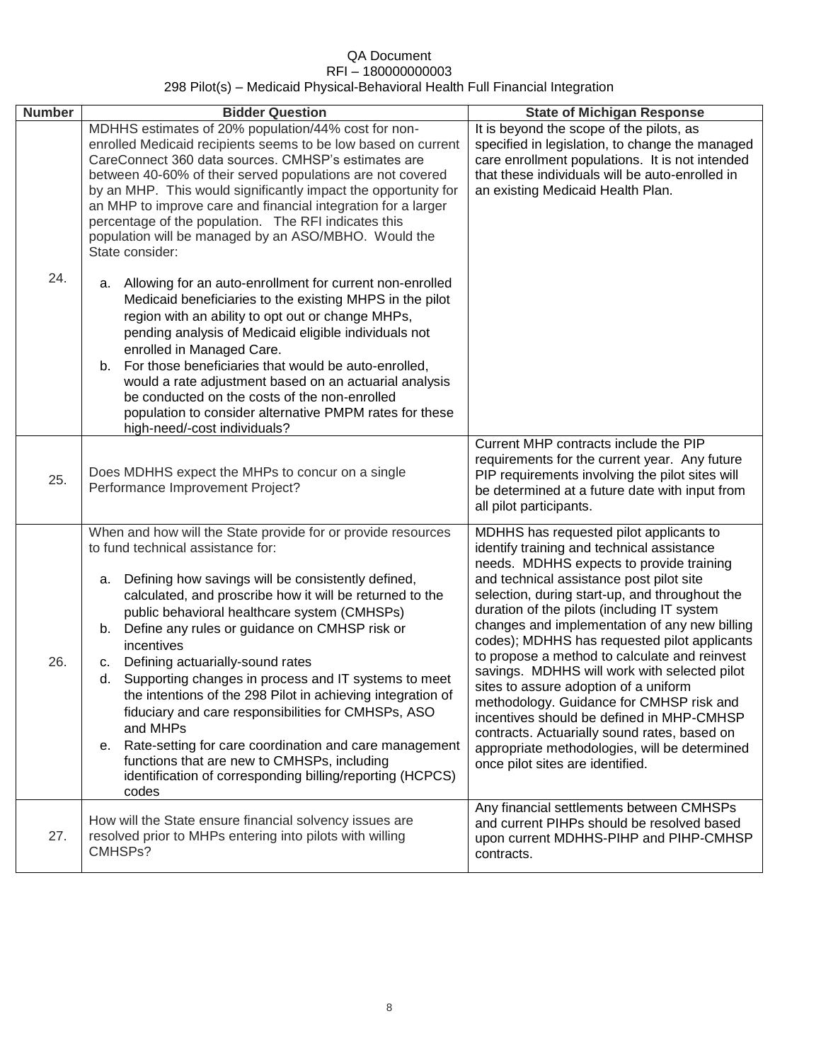| <b>Number</b> | <b>Bidder Question</b>                                                                                                                                                                                                                                                                                                                                                                                                                                                                                                                                                                                                                                                                                                                                                     | <b>State of Michigan Response</b>                                                                                                                                                                                                                                                                                                                                                                                                                                                                                                                                                                                                                                                                                                                       |
|---------------|----------------------------------------------------------------------------------------------------------------------------------------------------------------------------------------------------------------------------------------------------------------------------------------------------------------------------------------------------------------------------------------------------------------------------------------------------------------------------------------------------------------------------------------------------------------------------------------------------------------------------------------------------------------------------------------------------------------------------------------------------------------------------|---------------------------------------------------------------------------------------------------------------------------------------------------------------------------------------------------------------------------------------------------------------------------------------------------------------------------------------------------------------------------------------------------------------------------------------------------------------------------------------------------------------------------------------------------------------------------------------------------------------------------------------------------------------------------------------------------------------------------------------------------------|
|               | MDHHS estimates of 20% population/44% cost for non-<br>enrolled Medicaid recipients seems to be low based on current<br>CareConnect 360 data sources. CMHSP's estimates are<br>between 40-60% of their served populations are not covered<br>by an MHP. This would significantly impact the opportunity for<br>an MHP to improve care and financial integration for a larger<br>percentage of the population. The RFI indicates this<br>population will be managed by an ASO/MBHO. Would the<br>State consider:                                                                                                                                                                                                                                                            | It is beyond the scope of the pilots, as<br>specified in legislation, to change the managed<br>care enrollment populations. It is not intended<br>that these individuals will be auto-enrolled in<br>an existing Medicaid Health Plan.                                                                                                                                                                                                                                                                                                                                                                                                                                                                                                                  |
| 24.           | Allowing for an auto-enrollment for current non-enrolled<br>a.<br>Medicaid beneficiaries to the existing MHPS in the pilot<br>region with an ability to opt out or change MHPs,<br>pending analysis of Medicaid eligible individuals not<br>enrolled in Managed Care.<br>For those beneficiaries that would be auto-enrolled,<br>b.<br>would a rate adjustment based on an actuarial analysis<br>be conducted on the costs of the non-enrolled<br>population to consider alternative PMPM rates for these<br>high-need/-cost individuals?                                                                                                                                                                                                                                  |                                                                                                                                                                                                                                                                                                                                                                                                                                                                                                                                                                                                                                                                                                                                                         |
| 25.           | Does MDHHS expect the MHPs to concur on a single<br>Performance Improvement Project?                                                                                                                                                                                                                                                                                                                                                                                                                                                                                                                                                                                                                                                                                       | Current MHP contracts include the PIP<br>requirements for the current year. Any future<br>PIP requirements involving the pilot sites will<br>be determined at a future date with input from<br>all pilot participants.                                                                                                                                                                                                                                                                                                                                                                                                                                                                                                                                  |
| 26.           | When and how will the State provide for or provide resources<br>to fund technical assistance for:<br>Defining how savings will be consistently defined,<br>a.<br>calculated, and proscribe how it will be returned to the<br>public behavioral healthcare system (CMHSPs)<br>b. Define any rules or guidance on CMHSP risk or<br>incentives<br>Defining actuarially-sound rates<br>C.<br>Supporting changes in process and IT systems to meet<br>d.<br>the intentions of the 298 Pilot in achieving integration of<br>fiduciary and care responsibilities for CMHSPs, ASO<br>and MHPs<br>Rate-setting for care coordination and care management<br>е.<br>functions that are new to CMHSPs, including<br>identification of corresponding billing/reporting (HCPCS)<br>codes | MDHHS has requested pilot applicants to<br>identify training and technical assistance<br>needs. MDHHS expects to provide training<br>and technical assistance post pilot site<br>selection, during start-up, and throughout the<br>duration of the pilots (including IT system<br>changes and implementation of any new billing<br>codes); MDHHS has requested pilot applicants<br>to propose a method to calculate and reinvest<br>savings. MDHHS will work with selected pilot<br>sites to assure adoption of a uniform<br>methodology. Guidance for CMHSP risk and<br>incentives should be defined in MHP-CMHSP<br>contracts. Actuarially sound rates, based on<br>appropriate methodologies, will be determined<br>once pilot sites are identified. |
| 27.           | How will the State ensure financial solvency issues are<br>resolved prior to MHPs entering into pilots with willing<br>CMHSPs?                                                                                                                                                                                                                                                                                                                                                                                                                                                                                                                                                                                                                                             | Any financial settlements between CMHSPs<br>and current PIHPs should be resolved based<br>upon current MDHHS-PIHP and PIHP-CMHSP<br>contracts.                                                                                                                                                                                                                                                                                                                                                                                                                                                                                                                                                                                                          |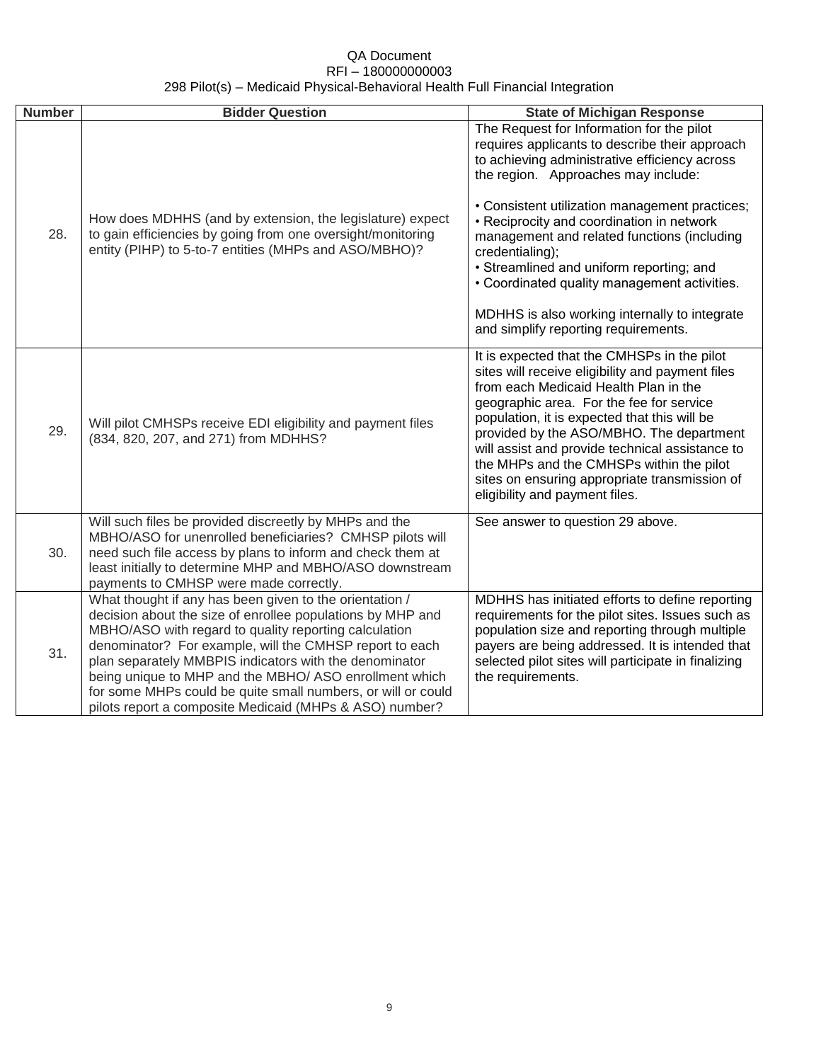| <b>Number</b> | <b>Bidder Question</b>                                                                                                                                                                                                                                                                                                                                                                                                                                                                   | <b>State of Michigan Response</b>                                                                                                                                                                                                                                                                                                                                                                                                                                                                                                         |
|---------------|------------------------------------------------------------------------------------------------------------------------------------------------------------------------------------------------------------------------------------------------------------------------------------------------------------------------------------------------------------------------------------------------------------------------------------------------------------------------------------------|-------------------------------------------------------------------------------------------------------------------------------------------------------------------------------------------------------------------------------------------------------------------------------------------------------------------------------------------------------------------------------------------------------------------------------------------------------------------------------------------------------------------------------------------|
| 28.           | How does MDHHS (and by extension, the legislature) expect<br>to gain efficiencies by going from one oversight/monitoring<br>entity (PIHP) to 5-to-7 entities (MHPs and ASO/MBHO)?                                                                                                                                                                                                                                                                                                        | The Request for Information for the pilot<br>requires applicants to describe their approach<br>to achieving administrative efficiency across<br>the region. Approaches may include:<br>• Consistent utilization management practices;<br>• Reciprocity and coordination in network<br>management and related functions (including<br>credentialing);<br>• Streamlined and uniform reporting; and<br>• Coordinated quality management activities.<br>MDHHS is also working internally to integrate<br>and simplify reporting requirements. |
| 29.           | Will pilot CMHSPs receive EDI eligibility and payment files<br>(834, 820, 207, and 271) from MDHHS?                                                                                                                                                                                                                                                                                                                                                                                      | It is expected that the CMHSPs in the pilot<br>sites will receive eligibility and payment files<br>from each Medicaid Health Plan in the<br>geographic area. For the fee for service<br>population, it is expected that this will be<br>provided by the ASO/MBHO. The department<br>will assist and provide technical assistance to<br>the MHPs and the CMHSPs within the pilot<br>sites on ensuring appropriate transmission of<br>eligibility and payment files.                                                                        |
| 30.           | Will such files be provided discreetly by MHPs and the<br>MBHO/ASO for unenrolled beneficiaries? CMHSP pilots will<br>need such file access by plans to inform and check them at<br>least initially to determine MHP and MBHO/ASO downstream<br>payments to CMHSP were made correctly.                                                                                                                                                                                                   | See answer to question 29 above.                                                                                                                                                                                                                                                                                                                                                                                                                                                                                                          |
| 31.           | What thought if any has been given to the orientation /<br>decision about the size of enrollee populations by MHP and<br>MBHO/ASO with regard to quality reporting calculation<br>denominator? For example, will the CMHSP report to each<br>plan separately MMBPIS indicators with the denominator<br>being unique to MHP and the MBHO/ ASO enrollment which<br>for some MHPs could be quite small numbers, or will or could<br>pilots report a composite Medicaid (MHPs & ASO) number? | MDHHS has initiated efforts to define reporting<br>requirements for the pilot sites. Issues such as<br>population size and reporting through multiple<br>payers are being addressed. It is intended that<br>selected pilot sites will participate in finalizing<br>the requirements.                                                                                                                                                                                                                                                      |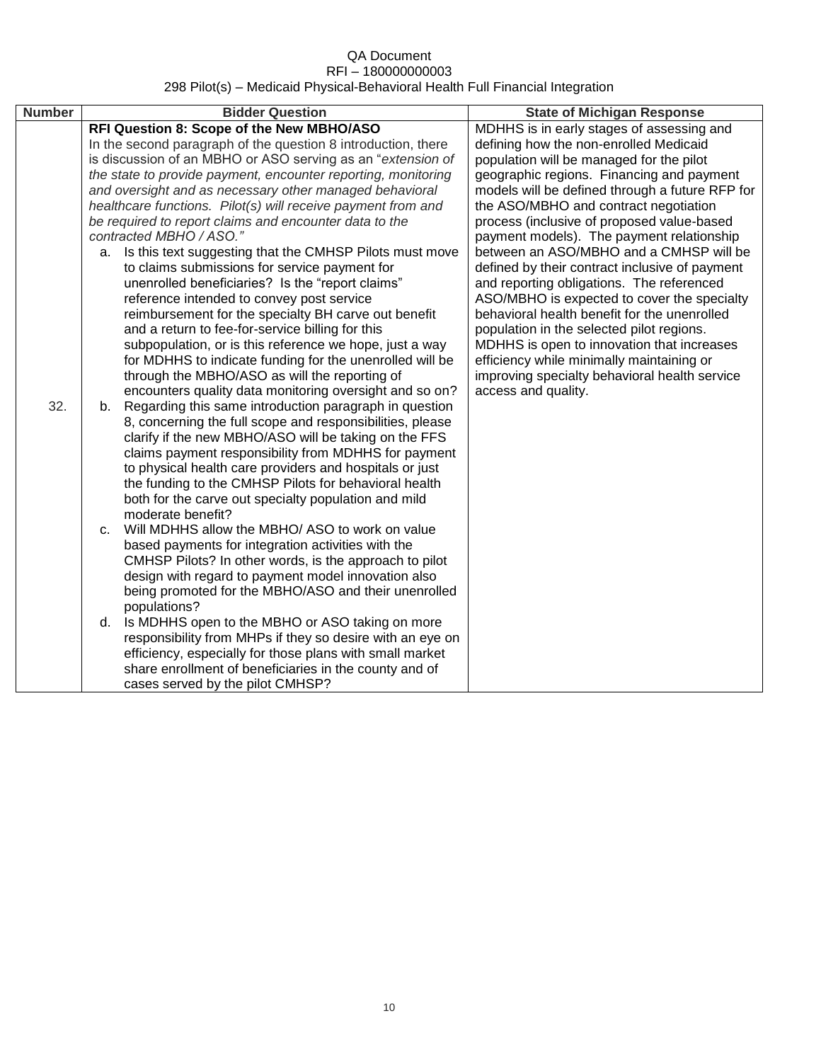| <b>Number</b> | <b>Bidder Question</b>                                                                                                                                                                                                                                                                                                                                                                                                                                                                                                                                                                                                                                                                                                                                                                                                                                                                                                                                                                                                                                                                                                                                                                                                                                                                                                                                                                                                                                                                                                                                                                                                                                                                                                                                                                                                                                                                                                                                                                                                                                              | <b>State of Michigan Response</b>                                                                                                                                                                                                                                                                                                                                                                                                                                                                                                                                                                                                                                                                                                                                                                                            |
|---------------|---------------------------------------------------------------------------------------------------------------------------------------------------------------------------------------------------------------------------------------------------------------------------------------------------------------------------------------------------------------------------------------------------------------------------------------------------------------------------------------------------------------------------------------------------------------------------------------------------------------------------------------------------------------------------------------------------------------------------------------------------------------------------------------------------------------------------------------------------------------------------------------------------------------------------------------------------------------------------------------------------------------------------------------------------------------------------------------------------------------------------------------------------------------------------------------------------------------------------------------------------------------------------------------------------------------------------------------------------------------------------------------------------------------------------------------------------------------------------------------------------------------------------------------------------------------------------------------------------------------------------------------------------------------------------------------------------------------------------------------------------------------------------------------------------------------------------------------------------------------------------------------------------------------------------------------------------------------------------------------------------------------------------------------------------------------------|------------------------------------------------------------------------------------------------------------------------------------------------------------------------------------------------------------------------------------------------------------------------------------------------------------------------------------------------------------------------------------------------------------------------------------------------------------------------------------------------------------------------------------------------------------------------------------------------------------------------------------------------------------------------------------------------------------------------------------------------------------------------------------------------------------------------------|
| 32.           | RFI Question 8: Scope of the New MBHO/ASO<br>In the second paragraph of the question 8 introduction, there<br>is discussion of an MBHO or ASO serving as an "extension of<br>the state to provide payment, encounter reporting, monitoring<br>and oversight and as necessary other managed behavioral<br>healthcare functions. Pilot(s) will receive payment from and<br>be required to report claims and encounter data to the<br>contracted MBHO / ASO."<br>Is this text suggesting that the CMHSP Pilots must move<br>a.<br>to claims submissions for service payment for<br>unenrolled beneficiaries? Is the "report claims"<br>reference intended to convey post service<br>reimbursement for the specialty BH carve out benefit<br>and a return to fee-for-service billing for this<br>subpopulation, or is this reference we hope, just a way<br>for MDHHS to indicate funding for the unenrolled will be<br>through the MBHO/ASO as will the reporting of<br>encounters quality data monitoring oversight and so on?<br>Regarding this same introduction paragraph in question<br>b.<br>8, concerning the full scope and responsibilities, please<br>clarify if the new MBHO/ASO will be taking on the FFS<br>claims payment responsibility from MDHHS for payment<br>to physical health care providers and hospitals or just<br>the funding to the CMHSP Pilots for behavioral health<br>both for the carve out specialty population and mild<br>moderate benefit?<br>Will MDHHS allow the MBHO/ ASO to work on value<br>C.<br>based payments for integration activities with the<br>CMHSP Pilots? In other words, is the approach to pilot<br>design with regard to payment model innovation also<br>being promoted for the MBHO/ASO and their unenrolled<br>populations?<br>Is MDHHS open to the MBHO or ASO taking on more<br>d.<br>responsibility from MHPs if they so desire with an eye on<br>efficiency, especially for those plans with small market<br>share enrollment of beneficiaries in the county and of<br>cases served by the pilot CMHSP? | MDHHS is in early stages of assessing and<br>defining how the non-enrolled Medicaid<br>population will be managed for the pilot<br>geographic regions. Financing and payment<br>models will be defined through a future RFP for<br>the ASO/MBHO and contract negotiation<br>process (inclusive of proposed value-based<br>payment models). The payment relationship<br>between an ASO/MBHO and a CMHSP will be<br>defined by their contract inclusive of payment<br>and reporting obligations. The referenced<br>ASO/MBHO is expected to cover the specialty<br>behavioral health benefit for the unenrolled<br>population in the selected pilot regions.<br>MDHHS is open to innovation that increases<br>efficiency while minimally maintaining or<br>improving specialty behavioral health service<br>access and quality. |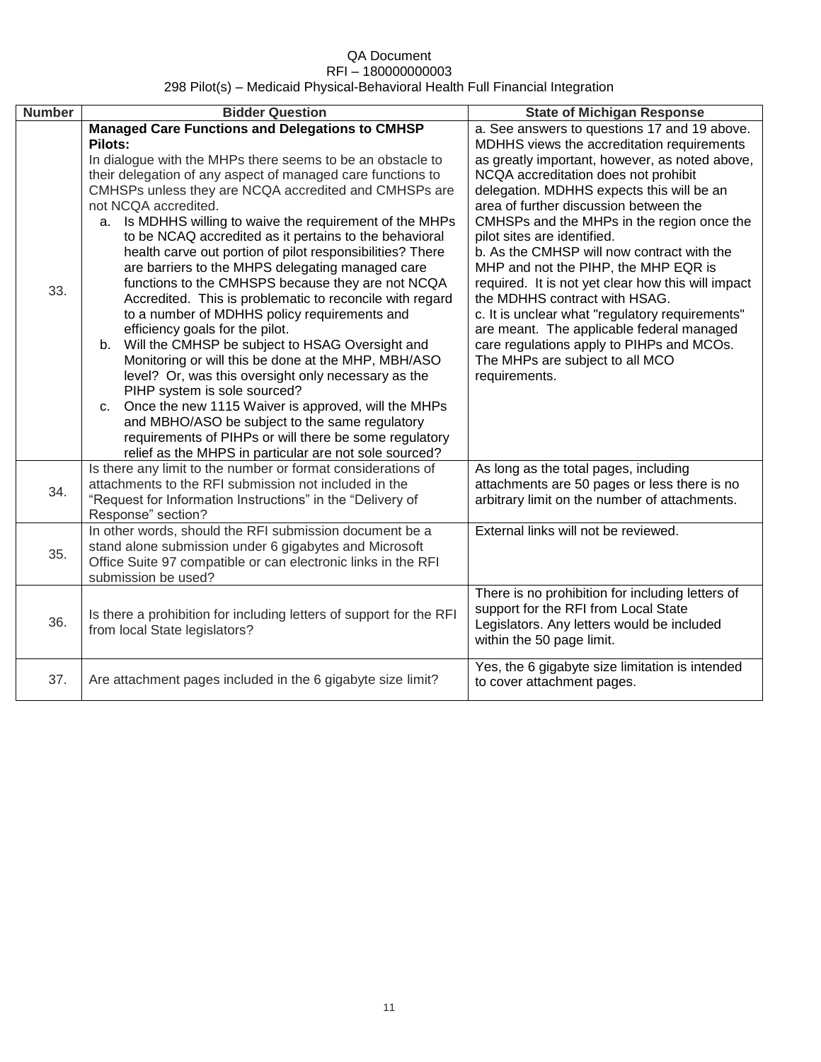| <b>Number</b> | <b>Bidder Question</b>                                                                                                                                                                                                                                                                                                                                                                                                                                                                                                                                                                                                                                                                                                                                                                                                                                                                                                                                                                                                                                                                                                                                               | <b>State of Michigan Response</b>                                                                                                                                                                                                                                                                                                                                                                                                                                                                                                                                                                                                                                                                                                      |
|---------------|----------------------------------------------------------------------------------------------------------------------------------------------------------------------------------------------------------------------------------------------------------------------------------------------------------------------------------------------------------------------------------------------------------------------------------------------------------------------------------------------------------------------------------------------------------------------------------------------------------------------------------------------------------------------------------------------------------------------------------------------------------------------------------------------------------------------------------------------------------------------------------------------------------------------------------------------------------------------------------------------------------------------------------------------------------------------------------------------------------------------------------------------------------------------|----------------------------------------------------------------------------------------------------------------------------------------------------------------------------------------------------------------------------------------------------------------------------------------------------------------------------------------------------------------------------------------------------------------------------------------------------------------------------------------------------------------------------------------------------------------------------------------------------------------------------------------------------------------------------------------------------------------------------------------|
| 33.           | <b>Managed Care Functions and Delegations to CMHSP</b><br>Pilots:<br>In dialogue with the MHPs there seems to be an obstacle to<br>their delegation of any aspect of managed care functions to<br>CMHSPs unless they are NCQA accredited and CMHSPs are<br>not NCQA accredited.<br>Is MDHHS willing to waive the requirement of the MHPs<br>a.<br>to be NCAQ accredited as it pertains to the behavioral<br>health carve out portion of pilot responsibilities? There<br>are barriers to the MHPS delegating managed care<br>functions to the CMHSPS because they are not NCQA<br>Accredited. This is problematic to reconcile with regard<br>to a number of MDHHS policy requirements and<br>efficiency goals for the pilot.<br>b. Will the CMHSP be subject to HSAG Oversight and<br>Monitoring or will this be done at the MHP, MBH/ASO<br>level? Or, was this oversight only necessary as the<br>PIHP system is sole sourced?<br>Once the new 1115 Waiver is approved, will the MHPs<br>C.<br>and MBHO/ASO be subject to the same regulatory<br>requirements of PIHPs or will there be some regulatory<br>relief as the MHPS in particular are not sole sourced? | a. See answers to questions 17 and 19 above.<br>MDHHS views the accreditation requirements<br>as greatly important, however, as noted above,<br>NCQA accreditation does not prohibit<br>delegation. MDHHS expects this will be an<br>area of further discussion between the<br>CMHSPs and the MHPs in the region once the<br>pilot sites are identified.<br>b. As the CMHSP will now contract with the<br>MHP and not the PIHP, the MHP EQR is<br>required. It is not yet clear how this will impact<br>the MDHHS contract with HSAG.<br>c. It is unclear what "regulatory requirements"<br>are meant. The applicable federal managed<br>care regulations apply to PIHPs and MCOs.<br>The MHPs are subject to all MCO<br>requirements. |
| 34.           | Is there any limit to the number or format considerations of<br>attachments to the RFI submission not included in the<br>"Request for Information Instructions" in the "Delivery of<br>Response" section?                                                                                                                                                                                                                                                                                                                                                                                                                                                                                                                                                                                                                                                                                                                                                                                                                                                                                                                                                            | As long as the total pages, including<br>attachments are 50 pages or less there is no<br>arbitrary limit on the number of attachments.                                                                                                                                                                                                                                                                                                                                                                                                                                                                                                                                                                                                 |
| 35.           | In other words, should the RFI submission document be a<br>stand alone submission under 6 gigabytes and Microsoft<br>Office Suite 97 compatible or can electronic links in the RFI<br>submission be used?                                                                                                                                                                                                                                                                                                                                                                                                                                                                                                                                                                                                                                                                                                                                                                                                                                                                                                                                                            | External links will not be reviewed.                                                                                                                                                                                                                                                                                                                                                                                                                                                                                                                                                                                                                                                                                                   |
| 36.           | Is there a prohibition for including letters of support for the RFI<br>from local State legislators?                                                                                                                                                                                                                                                                                                                                                                                                                                                                                                                                                                                                                                                                                                                                                                                                                                                                                                                                                                                                                                                                 | There is no prohibition for including letters of<br>support for the RFI from Local State<br>Legislators. Any letters would be included<br>within the 50 page limit.                                                                                                                                                                                                                                                                                                                                                                                                                                                                                                                                                                    |
| 37.           | Are attachment pages included in the 6 gigabyte size limit?                                                                                                                                                                                                                                                                                                                                                                                                                                                                                                                                                                                                                                                                                                                                                                                                                                                                                                                                                                                                                                                                                                          | Yes, the 6 gigabyte size limitation is intended<br>to cover attachment pages.                                                                                                                                                                                                                                                                                                                                                                                                                                                                                                                                                                                                                                                          |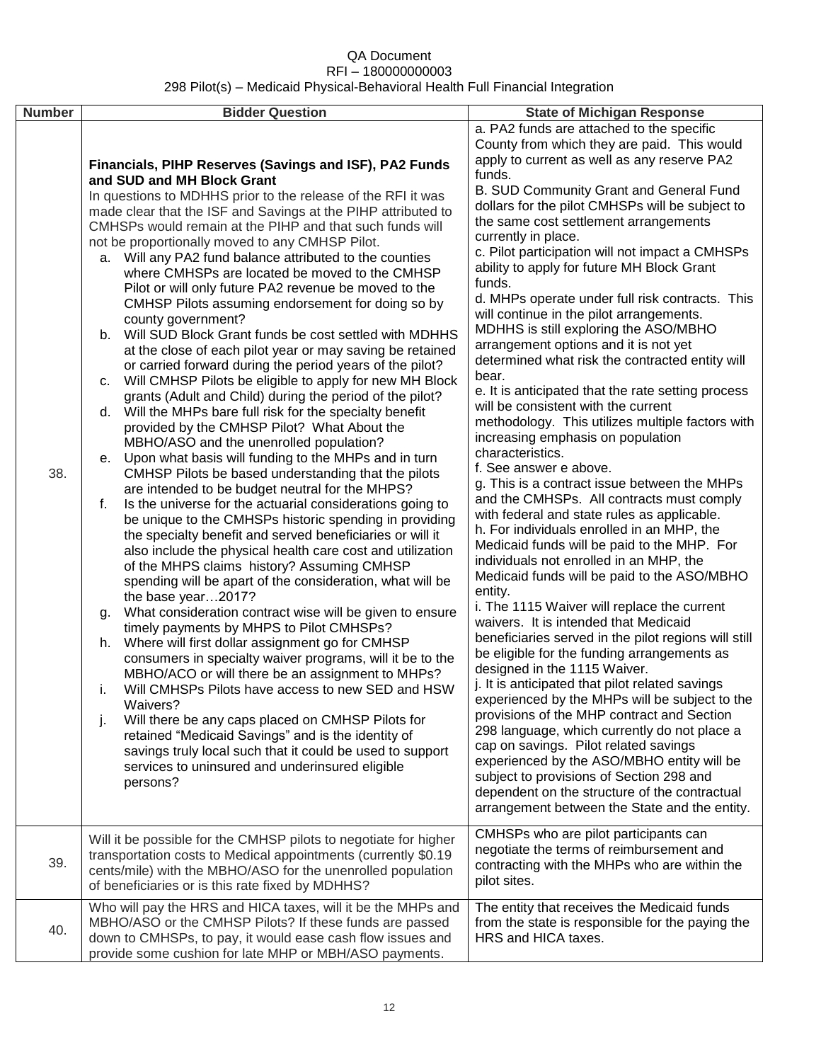| <b>Number</b> | <b>Bidder Question</b>                                                                                                                                                                                                                                                                                                                                                                                                                                                                                                                                                                                                                                                                                                                                                                                                                                                                                                                                                                                                                                                                                                                                                                                                                                                                                                                                                                                                                                                                                                                                                                                                                                                                                                                                                                                                                                                                                                                                                                                                                                                                                                                                                                                                                | <b>State of Michigan Response</b>                                                                                                                                                                                                                                                                                                                                                                                                                                                                                                                                                                                                                                                                                                                                                                                                                                                                                                                                                                                                                                                                                                                                                                                                                                                                                                                                                                                                                                                                                                                                                                                                                                                                                                                                                                                                                                                                                                |
|---------------|---------------------------------------------------------------------------------------------------------------------------------------------------------------------------------------------------------------------------------------------------------------------------------------------------------------------------------------------------------------------------------------------------------------------------------------------------------------------------------------------------------------------------------------------------------------------------------------------------------------------------------------------------------------------------------------------------------------------------------------------------------------------------------------------------------------------------------------------------------------------------------------------------------------------------------------------------------------------------------------------------------------------------------------------------------------------------------------------------------------------------------------------------------------------------------------------------------------------------------------------------------------------------------------------------------------------------------------------------------------------------------------------------------------------------------------------------------------------------------------------------------------------------------------------------------------------------------------------------------------------------------------------------------------------------------------------------------------------------------------------------------------------------------------------------------------------------------------------------------------------------------------------------------------------------------------------------------------------------------------------------------------------------------------------------------------------------------------------------------------------------------------------------------------------------------------------------------------------------------------|----------------------------------------------------------------------------------------------------------------------------------------------------------------------------------------------------------------------------------------------------------------------------------------------------------------------------------------------------------------------------------------------------------------------------------------------------------------------------------------------------------------------------------------------------------------------------------------------------------------------------------------------------------------------------------------------------------------------------------------------------------------------------------------------------------------------------------------------------------------------------------------------------------------------------------------------------------------------------------------------------------------------------------------------------------------------------------------------------------------------------------------------------------------------------------------------------------------------------------------------------------------------------------------------------------------------------------------------------------------------------------------------------------------------------------------------------------------------------------------------------------------------------------------------------------------------------------------------------------------------------------------------------------------------------------------------------------------------------------------------------------------------------------------------------------------------------------------------------------------------------------------------------------------------------------|
| 38.           | Financials, PIHP Reserves (Savings and ISF), PA2 Funds<br>and SUD and MH Block Grant<br>In questions to MDHHS prior to the release of the RFI it was<br>made clear that the ISF and Savings at the PIHP attributed to<br>CMHSPs would remain at the PIHP and that such funds will<br>not be proportionally moved to any CMHSP Pilot.<br>a. Will any PA2 fund balance attributed to the counties<br>where CMHSPs are located be moved to the CMHSP<br>Pilot or will only future PA2 revenue be moved to the<br>CMHSP Pilots assuming endorsement for doing so by<br>county government?<br>b. Will SUD Block Grant funds be cost settled with MDHHS<br>at the close of each pilot year or may saving be retained<br>or carried forward during the period years of the pilot?<br>c. Will CMHSP Pilots be eligible to apply for new MH Block<br>grants (Adult and Child) during the period of the pilot?<br>d. Will the MHPs bare full risk for the specialty benefit<br>provided by the CMHSP Pilot? What About the<br>MBHO/ASO and the unenrolled population?<br>e. Upon what basis will funding to the MHPs and in turn<br>CMHSP Pilots be based understanding that the pilots<br>are intended to be budget neutral for the MHPS?<br>Is the universe for the actuarial considerations going to<br>f.<br>be unique to the CMHSPs historic spending in providing<br>the specialty benefit and served beneficiaries or will it<br>also include the physical health care cost and utilization<br>of the MHPS claims history? Assuming CMHSP<br>spending will be apart of the consideration, what will be<br>the base year2017?<br>What consideration contract wise will be given to ensure<br>g.<br>timely payments by MHPS to Pilot CMHSPs?<br>Where will first dollar assignment go for CMHSP<br>h.<br>consumers in specialty waiver programs, will it be to the<br>MBHO/ACO or will there be an assignment to MHPs?<br>Will CMHSPs Pilots have access to new SED and HSW<br>i.<br>Waivers?<br>Will there be any caps placed on CMHSP Pilots for<br>j.<br>retained "Medicaid Savings" and is the identity of<br>savings truly local such that it could be used to support<br>services to uninsured and underinsured eligible<br>persons? | a. PA2 funds are attached to the specific<br>County from which they are paid. This would<br>apply to current as well as any reserve PA2<br>funds.<br>B. SUD Community Grant and General Fund<br>dollars for the pilot CMHSPs will be subject to<br>the same cost settlement arrangements<br>currently in place.<br>c. Pilot participation will not impact a CMHSPs<br>ability to apply for future MH Block Grant<br>funds.<br>d. MHPs operate under full risk contracts. This<br>will continue in the pilot arrangements.<br>MDHHS is still exploring the ASO/MBHO<br>arrangement options and it is not yet<br>determined what risk the contracted entity will<br>bear.<br>e. It is anticipated that the rate setting process<br>will be consistent with the current<br>methodology. This utilizes multiple factors with<br>increasing emphasis on population<br>characteristics.<br>f. See answer e above.<br>g. This is a contract issue between the MHPs<br>and the CMHSPs. All contracts must comply<br>with federal and state rules as applicable.<br>h. For individuals enrolled in an MHP, the<br>Medicaid funds will be paid to the MHP. For<br>individuals not enrolled in an MHP, the<br>Medicaid funds will be paid to the ASO/MBHO<br>entity.<br>i. The 1115 Waiver will replace the current<br>waivers. It is intended that Medicaid<br>beneficiaries served in the pilot regions will still<br>be eligible for the funding arrangements as<br>designed in the 1115 Waiver.<br>j. It is anticipated that pilot related savings<br>experienced by the MHPs will be subject to the<br>provisions of the MHP contract and Section<br>298 language, which currently do not place a<br>cap on savings. Pilot related savings<br>experienced by the ASO/MBHO entity will be<br>subject to provisions of Section 298 and<br>dependent on the structure of the contractual<br>arrangement between the State and the entity. |
| 39.           | Will it be possible for the CMHSP pilots to negotiate for higher<br>transportation costs to Medical appointments (currently \$0.19<br>cents/mile) with the MBHO/ASO for the unenrolled population<br>of beneficiaries or is this rate fixed by MDHHS?                                                                                                                                                                                                                                                                                                                                                                                                                                                                                                                                                                                                                                                                                                                                                                                                                                                                                                                                                                                                                                                                                                                                                                                                                                                                                                                                                                                                                                                                                                                                                                                                                                                                                                                                                                                                                                                                                                                                                                                 | CMHSPs who are pilot participants can<br>negotiate the terms of reimbursement and<br>contracting with the MHPs who are within the<br>pilot sites.                                                                                                                                                                                                                                                                                                                                                                                                                                                                                                                                                                                                                                                                                                                                                                                                                                                                                                                                                                                                                                                                                                                                                                                                                                                                                                                                                                                                                                                                                                                                                                                                                                                                                                                                                                                |
| 40.           | Who will pay the HRS and HICA taxes, will it be the MHPs and<br>MBHO/ASO or the CMHSP Pilots? If these funds are passed<br>down to CMHSPs, to pay, it would ease cash flow issues and<br>provide some cushion for late MHP or MBH/ASO payments.                                                                                                                                                                                                                                                                                                                                                                                                                                                                                                                                                                                                                                                                                                                                                                                                                                                                                                                                                                                                                                                                                                                                                                                                                                                                                                                                                                                                                                                                                                                                                                                                                                                                                                                                                                                                                                                                                                                                                                                       | The entity that receives the Medicaid funds<br>from the state is responsible for the paying the<br>HRS and HICA taxes.                                                                                                                                                                                                                                                                                                                                                                                                                                                                                                                                                                                                                                                                                                                                                                                                                                                                                                                                                                                                                                                                                                                                                                                                                                                                                                                                                                                                                                                                                                                                                                                                                                                                                                                                                                                                           |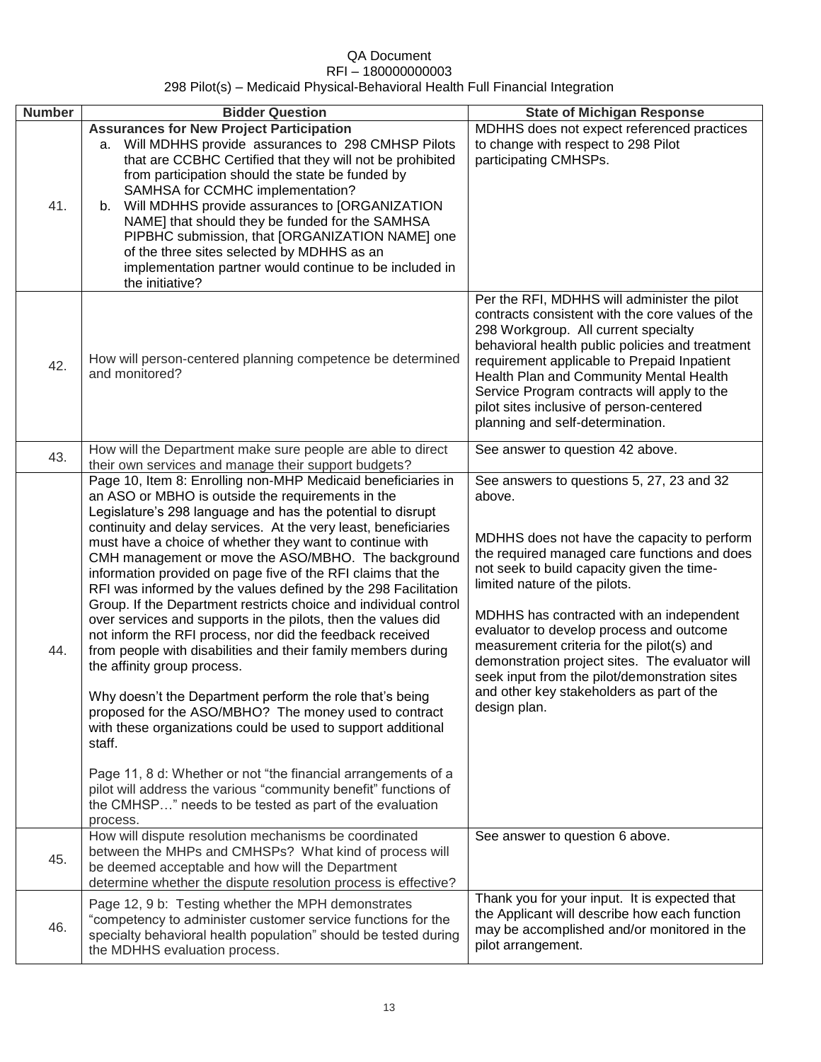### QA Document RFI – 180000000003

#### 298 Pilot(s) – Medicaid Physical-Behavioral Health Full Financial Integration

| <b>Number</b> | <b>Bidder Question</b>                                                                                                                                                                                                                                                                                                                                                                                                                                                                                                                                                                                                                                                                                                                                                                                                                                                                                                                                                                                                                                                                                                                                                                                               | <b>State of Michigan Response</b>                                                                                                                                                                                                                                                                                                                                                                                                                                                                                                       |
|---------------|----------------------------------------------------------------------------------------------------------------------------------------------------------------------------------------------------------------------------------------------------------------------------------------------------------------------------------------------------------------------------------------------------------------------------------------------------------------------------------------------------------------------------------------------------------------------------------------------------------------------------------------------------------------------------------------------------------------------------------------------------------------------------------------------------------------------------------------------------------------------------------------------------------------------------------------------------------------------------------------------------------------------------------------------------------------------------------------------------------------------------------------------------------------------------------------------------------------------|-----------------------------------------------------------------------------------------------------------------------------------------------------------------------------------------------------------------------------------------------------------------------------------------------------------------------------------------------------------------------------------------------------------------------------------------------------------------------------------------------------------------------------------------|
| 41.           | <b>Assurances for New Project Participation</b><br>a. Will MDHHS provide assurances to 298 CMHSP Pilots<br>that are CCBHC Certified that they will not be prohibited<br>from participation should the state be funded by<br>SAMHSA for CCMHC implementation?<br>b. Will MDHHS provide assurances to [ORGANIZATION<br>NAME] that should they be funded for the SAMHSA<br>PIPBHC submission, that [ORGANIZATION NAME] one<br>of the three sites selected by MDHHS as an<br>implementation partner would continue to be included in<br>the initiative?                                                                                                                                                                                                                                                                                                                                                                                                                                                                                                                                                                                                                                                                  | MDHHS does not expect referenced practices<br>to change with respect to 298 Pilot<br>participating CMHSPs.                                                                                                                                                                                                                                                                                                                                                                                                                              |
| 42.           | How will person-centered planning competence be determined<br>and monitored?                                                                                                                                                                                                                                                                                                                                                                                                                                                                                                                                                                                                                                                                                                                                                                                                                                                                                                                                                                                                                                                                                                                                         | Per the RFI, MDHHS will administer the pilot<br>contracts consistent with the core values of the<br>298 Workgroup. All current specialty<br>behavioral health public policies and treatment<br>requirement applicable to Prepaid Inpatient<br>Health Plan and Community Mental Health<br>Service Program contracts will apply to the<br>pilot sites inclusive of person-centered<br>planning and self-determination.                                                                                                                    |
| 43.           | How will the Department make sure people are able to direct<br>their own services and manage their support budgets?                                                                                                                                                                                                                                                                                                                                                                                                                                                                                                                                                                                                                                                                                                                                                                                                                                                                                                                                                                                                                                                                                                  | See answer to question 42 above.                                                                                                                                                                                                                                                                                                                                                                                                                                                                                                        |
| 44.           | Page 10, Item 8: Enrolling non-MHP Medicaid beneficiaries in<br>an ASO or MBHO is outside the requirements in the<br>Legislature's 298 language and has the potential to disrupt<br>continuity and delay services. At the very least, beneficiaries<br>must have a choice of whether they want to continue with<br>CMH management or move the ASO/MBHO. The background<br>information provided on page five of the RFI claims that the<br>RFI was informed by the values defined by the 298 Facilitation<br>Group. If the Department restricts choice and individual control<br>over services and supports in the pilots, then the values did<br>not inform the RFI process, nor did the feedback received<br>from people with disabilities and their family members during<br>the affinity group process.<br>Why doesn't the Department perform the role that's being<br>proposed for the ASO/MBHO? The money used to contract<br>with these organizations could be used to support additional<br>staff.<br>Page 11, 8 d: Whether or not "the financial arrangements of a<br>pilot will address the various "community benefit" functions of<br>the CMHSP" needs to be tested as part of the evaluation<br>process. | See answers to questions 5, 27, 23 and 32<br>above.<br>MDHHS does not have the capacity to perform<br>the required managed care functions and does<br>not seek to build capacity given the time-<br>limited nature of the pilots.<br>MDHHS has contracted with an independent<br>evaluator to develop process and outcome<br>measurement criteria for the pilot(s) and<br>demonstration project sites. The evaluator will<br>seek input from the pilot/demonstration sites<br>and other key stakeholders as part of the<br>design plan. |
| 45.           | How will dispute resolution mechanisms be coordinated<br>between the MHPs and CMHSPs? What kind of process will<br>be deemed acceptable and how will the Department<br>determine whether the dispute resolution process is effective?                                                                                                                                                                                                                                                                                                                                                                                                                                                                                                                                                                                                                                                                                                                                                                                                                                                                                                                                                                                | See answer to question 6 above.                                                                                                                                                                                                                                                                                                                                                                                                                                                                                                         |
| 46.           | Page 12, 9 b: Testing whether the MPH demonstrates<br>"competency to administer customer service functions for the<br>specialty behavioral health population" should be tested during<br>the MDHHS evaluation process.                                                                                                                                                                                                                                                                                                                                                                                                                                                                                                                                                                                                                                                                                                                                                                                                                                                                                                                                                                                               | Thank you for your input. It is expected that<br>the Applicant will describe how each function<br>may be accomplished and/or monitored in the<br>pilot arrangement.                                                                                                                                                                                                                                                                                                                                                                     |